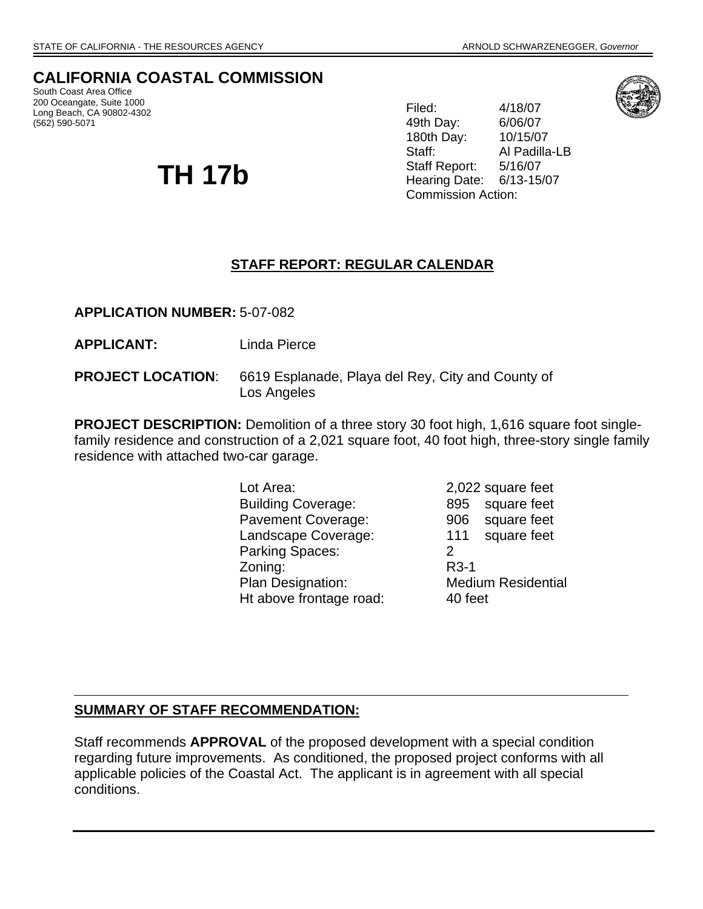# **CALIFORNIA COASTAL COMMISSION**

South Coast Area Office 200 Oceangate, Suite 1000 Long Beach, CA 90802-4302 (562) 590-5071

# **TH 17b**

49th Day: 6/06/07 Filed: 4/18/07 180th Day: 10/15/07 Staff: Al Padilla-LB Staff Report: 5/16/07 Hearing Date: 6/13-15/07 Commission Action:



# **STAFF REPORT: REGULAR CALENDAR**

**APPLICATION NUMBER:** 5-07-082

**APPLICANT:** Linda Pierce

**PROJECT LOCATION**: 6619 Esplanade, Playa del Rey, City and County of Los Angeles

**PROJECT DESCRIPTION:** Demolition of a three story 30 foot high, 1,616 square foot singlefamily residence and construction of a 2,021 square foot, 40 foot high, three-story single family residence with attached two-car garage.

> Lot Area: 2,022 square feet Building Coverage: 895 square feet Pavement Coverage: 906 square feet Landscape Coverage: 111 square feet Parking Spaces: 2 Zoning: R3-1 Plan Designation: Medium Residential Ht above frontage road: 40 feet

#### **SUMMARY OF STAFF RECOMMENDATION:**

Staff recommends **APPROVAL** of the proposed development with a special condition regarding future improvements. As conditioned, the proposed project conforms with all applicable policies of the Coastal Act. The applicant is in agreement with all special conditions.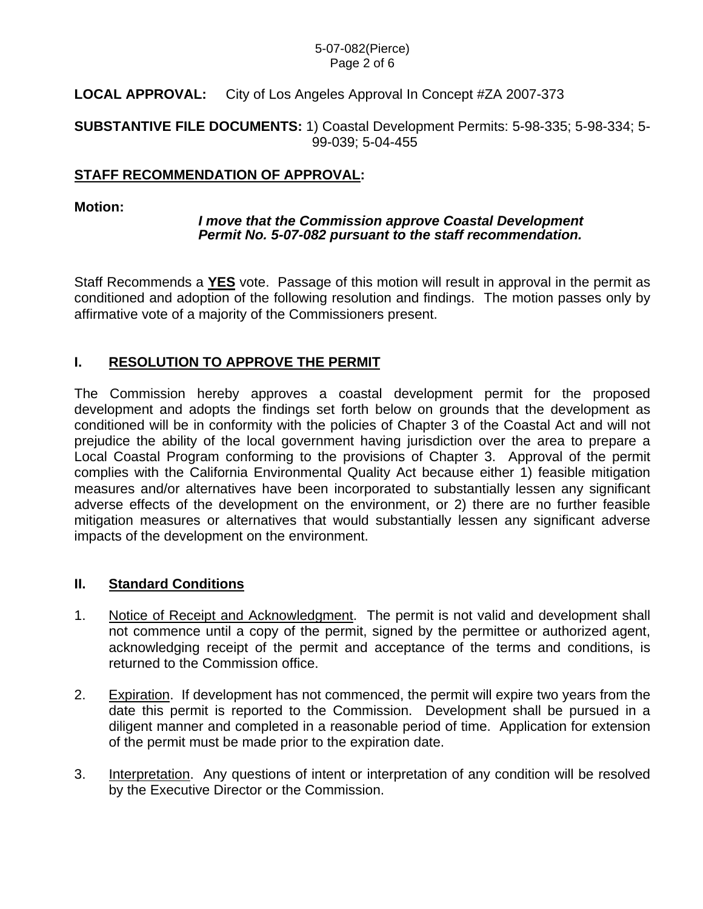#### 5-07-082(Pierce) Page 2 of 6

# **LOCAL APPROVAL:** City of Los Angeles Approval In Concept #ZA 2007-373

**SUBSTANTIVE FILE DOCUMENTS:** 1) Coastal Development Permits: 5-98-335; 5-98-334; 5- 99-039; 5-04-455

## **STAFF RECOMMENDATION OF APPROVAL:**

#### **Motion:**

#### *I move that the Commission approve Coastal Development Permit No. 5-07-082 pursuant to the staff recommendation.*

Staff Recommends a **YES** vote. Passage of this motion will result in approval in the permit as conditioned and adoption of the following resolution and findings. The motion passes only by affirmative vote of a majority of the Commissioners present.

# **I. RESOLUTION TO APPROVE THE PERMIT**

The Commission hereby approves a coastal development permit for the proposed development and adopts the findings set forth below on grounds that the development as conditioned will be in conformity with the policies of Chapter 3 of the Coastal Act and will not prejudice the ability of the local government having jurisdiction over the area to prepare a Local Coastal Program conforming to the provisions of Chapter 3. Approval of the permit complies with the California Environmental Quality Act because either 1) feasible mitigation measures and/or alternatives have been incorporated to substantially lessen any significant adverse effects of the development on the environment, or 2) there are no further feasible mitigation measures or alternatives that would substantially lessen any significant adverse impacts of the development on the environment.

## **II. Standard Conditions**

- 1. Notice of Receipt and Acknowledgment. The permit is not valid and development shall not commence until a copy of the permit, signed by the permittee or authorized agent, acknowledging receipt of the permit and acceptance of the terms and conditions, is returned to the Commission office.
- 2. Expiration. If development has not commenced, the permit will expire two years from the date this permit is reported to the Commission. Development shall be pursued in a diligent manner and completed in a reasonable period of time. Application for extension of the permit must be made prior to the expiration date.
- 3. Interpretation. Any questions of intent or interpretation of any condition will be resolved by the Executive Director or the Commission.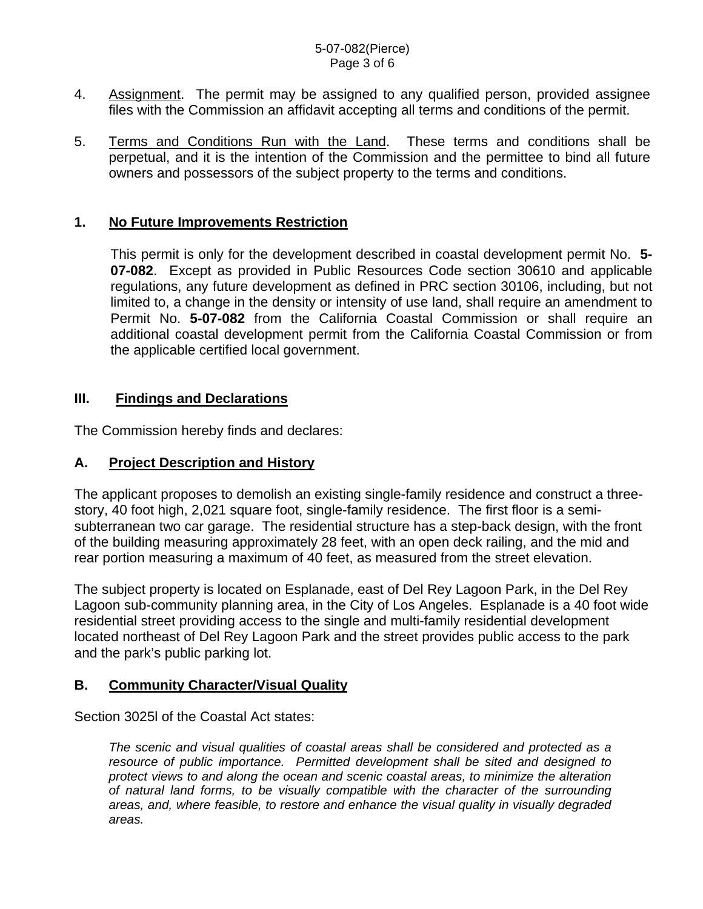#### 5-07-082(Pierce) Page 3 of 6

- 4. Assignment. The permit may be assigned to any qualified person, provided assignee files with the Commission an affidavit accepting all terms and conditions of the permit.
- 5. Terms and Conditions Run with the Land. These terms and conditions shall be perpetual, and it is the intention of the Commission and the permittee to bind all future owners and possessors of the subject property to the terms and conditions.

# **1. No Future Improvements Restriction**

 This permit is only for the development described in coastal development permit No. **5- 07-082**. Except as provided in Public Resources Code section 30610 and applicable regulations, any future development as defined in PRC section 30106, including, but not limited to, a change in the density or intensity of use land, shall require an amendment to Permit No. **5-07-082** from the California Coastal Commission or shall require an additional coastal development permit from the California Coastal Commission or from the applicable certified local government.

## **III. Findings and Declarations**

The Commission hereby finds and declares:

## **A. Project Description and History**

The applicant proposes to demolish an existing single-family residence and construct a threestory, 40 foot high, 2,021 square foot, single-family residence. The first floor is a semisubterranean two car garage. The residential structure has a step-back design, with the front of the building measuring approximately 28 feet, with an open deck railing, and the mid and rear portion measuring a maximum of 40 feet, as measured from the street elevation.

The subject property is located on Esplanade, east of Del Rey Lagoon Park, in the Del Rey Lagoon sub-community planning area, in the City of Los Angeles. Esplanade is a 40 foot wide residential street providing access to the single and multi-family residential development located northeast of Del Rey Lagoon Park and the street provides public access to the park and the park's public parking lot.

## **B. Community Character/Visual Quality**

Section 3025l of the Coastal Act states:

*The scenic and visual qualities of coastal areas shall be considered and protected as a resource of public importance. Permitted development shall be sited and designed to protect views to and along the ocean and scenic coastal areas, to minimize the alteration of natural land forms, to be visually compatible with the character of the surrounding areas, and, where feasible, to restore and enhance the visual quality in visually degraded areas.*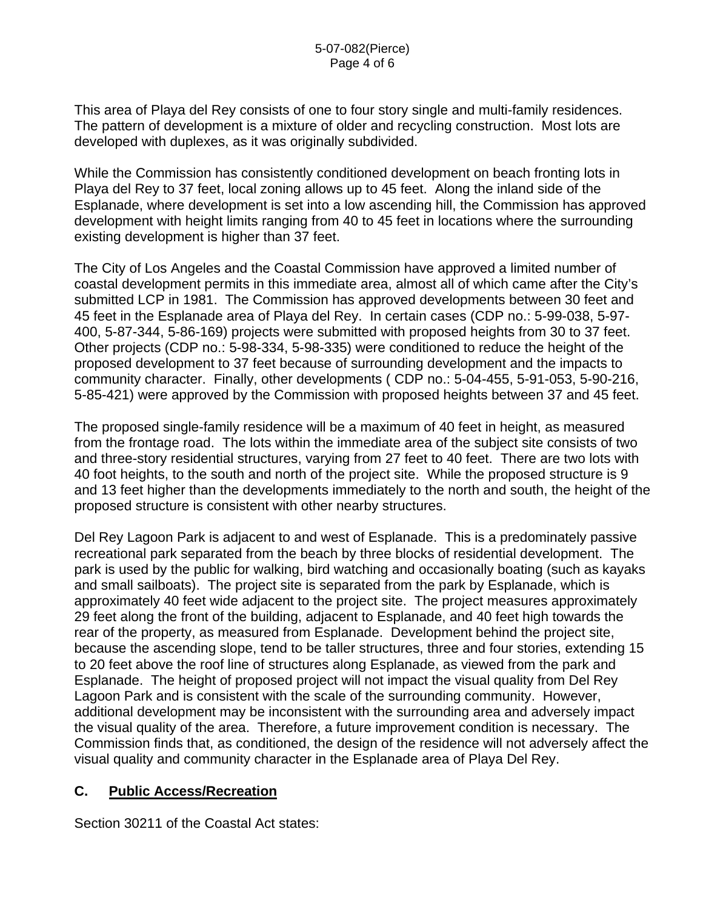This area of Playa del Rey consists of one to four story single and multi-family residences. The pattern of development is a mixture of older and recycling construction. Most lots are developed with duplexes, as it was originally subdivided.

While the Commission has consistently conditioned development on beach fronting lots in Playa del Rey to 37 feet, local zoning allows up to 45 feet. Along the inland side of the Esplanade, where development is set into a low ascending hill, the Commission has approved development with height limits ranging from 40 to 45 feet in locations where the surrounding existing development is higher than 37 feet.

The City of Los Angeles and the Coastal Commission have approved a limited number of coastal development permits in this immediate area, almost all of which came after the City's submitted LCP in 1981. The Commission has approved developments between 30 feet and 45 feet in the Esplanade area of Playa del Rey. In certain cases (CDP no.: 5-99-038, 5-97- 400, 5-87-344, 5-86-169) projects were submitted with proposed heights from 30 to 37 feet. Other projects (CDP no.: 5-98-334, 5-98-335) were conditioned to reduce the height of the proposed development to 37 feet because of surrounding development and the impacts to community character. Finally, other developments ( CDP no.: 5-04-455, 5-91-053, 5-90-216, 5-85-421) were approved by the Commission with proposed heights between 37 and 45 feet.

The proposed single-family residence will be a maximum of 40 feet in height, as measured from the frontage road. The lots within the immediate area of the subject site consists of two and three-story residential structures, varying from 27 feet to 40 feet. There are two lots with 40 foot heights, to the south and north of the project site. While the proposed structure is 9 and 13 feet higher than the developments immediately to the north and south, the height of the proposed structure is consistent with other nearby structures.

Del Rey Lagoon Park is adjacent to and west of Esplanade. This is a predominately passive recreational park separated from the beach by three blocks of residential development. The park is used by the public for walking, bird watching and occasionally boating (such as kayaks and small sailboats). The project site is separated from the park by Esplanade, which is approximately 40 feet wide adjacent to the project site. The project measures approximately 29 feet along the front of the building, adjacent to Esplanade, and 40 feet high towards the rear of the property, as measured from Esplanade. Development behind the project site, because the ascending slope, tend to be taller structures, three and four stories, extending 15 to 20 feet above the roof line of structures along Esplanade, as viewed from the park and Esplanade. The height of proposed project will not impact the visual quality from Del Rey Lagoon Park and is consistent with the scale of the surrounding community. However, additional development may be inconsistent with the surrounding area and adversely impact the visual quality of the area. Therefore, a future improvement condition is necessary. The Commission finds that, as conditioned, the design of the residence will not adversely affect the visual quality and community character in the Esplanade area of Playa Del Rey.

## **C. Public Access/Recreation**

Section 30211 of the Coastal Act states: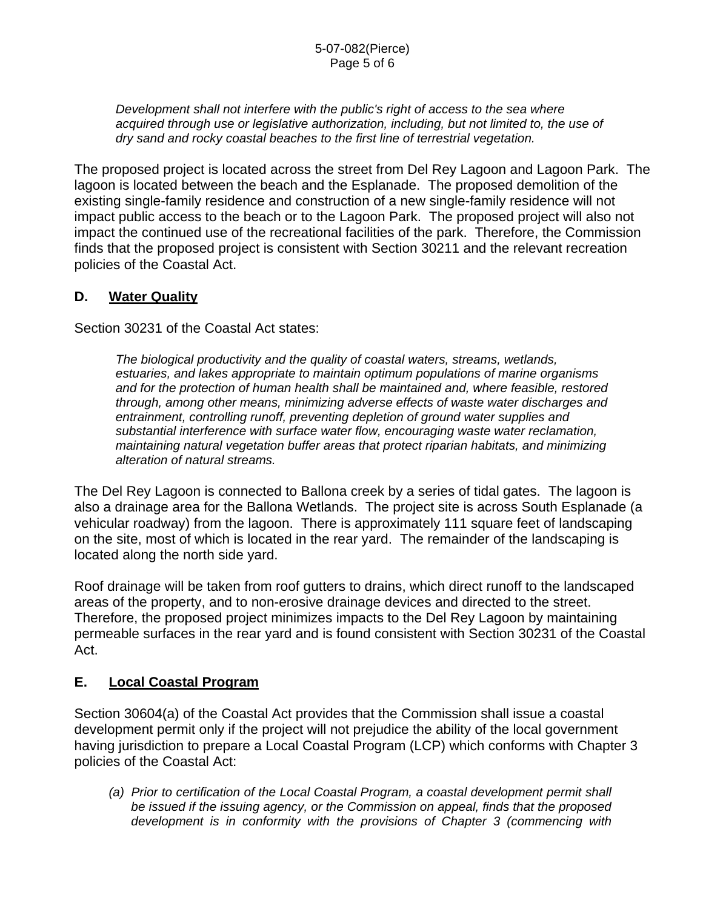*Development shall not interfere with the public's right of access to the sea where acquired through use or legislative authorization, including, but not limited to, the use of dry sand and rocky coastal beaches to the first line of terrestrial vegetation.* 

The proposed project is located across the street from Del Rey Lagoon and Lagoon Park. The lagoon is located between the beach and the Esplanade. The proposed demolition of the existing single-family residence and construction of a new single-family residence will not impact public access to the beach or to the Lagoon Park. The proposed project will also not impact the continued use of the recreational facilities of the park. Therefore, the Commission finds that the proposed project is consistent with Section 30211 and the relevant recreation policies of the Coastal Act.

# **D. Water Quality**

Section 30231 of the Coastal Act states:

*The biological productivity and the quality of coastal waters, streams, wetlands, estuaries, and lakes appropriate to maintain optimum populations of marine organisms and for the protection of human health shall be maintained and, where feasible, restored through, among other means, minimizing adverse effects of waste water discharges and entrainment, controlling runoff, preventing depletion of ground water supplies and substantial interference with surface water flow, encouraging waste water reclamation, maintaining natural vegetation buffer areas that protect riparian habitats, and minimizing alteration of natural streams.* 

The Del Rey Lagoon is connected to Ballona creek by a series of tidal gates. The lagoon is also a drainage area for the Ballona Wetlands. The project site is across South Esplanade (a vehicular roadway) from the lagoon. There is approximately 111 square feet of landscaping on the site, most of which is located in the rear yard. The remainder of the landscaping is located along the north side yard.

Roof drainage will be taken from roof gutters to drains, which direct runoff to the landscaped areas of the property, and to non-erosive drainage devices and directed to the street. Therefore, the proposed project minimizes impacts to the Del Rey Lagoon by maintaining permeable surfaces in the rear yard and is found consistent with Section 30231 of the Coastal Act.

# **E. Local Coastal Program**

Section 30604(a) of the Coastal Act provides that the Commission shall issue a coastal development permit only if the project will not prejudice the ability of the local government having jurisdiction to prepare a Local Coastal Program (LCP) which conforms with Chapter 3 policies of the Coastal Act:

*(a) Prior to certification of the Local Coastal Program, a coastal development permit shall be issued if the issuing agency, or the Commission on appeal, finds that the proposed development is in conformity with the provisions of Chapter 3 (commencing with*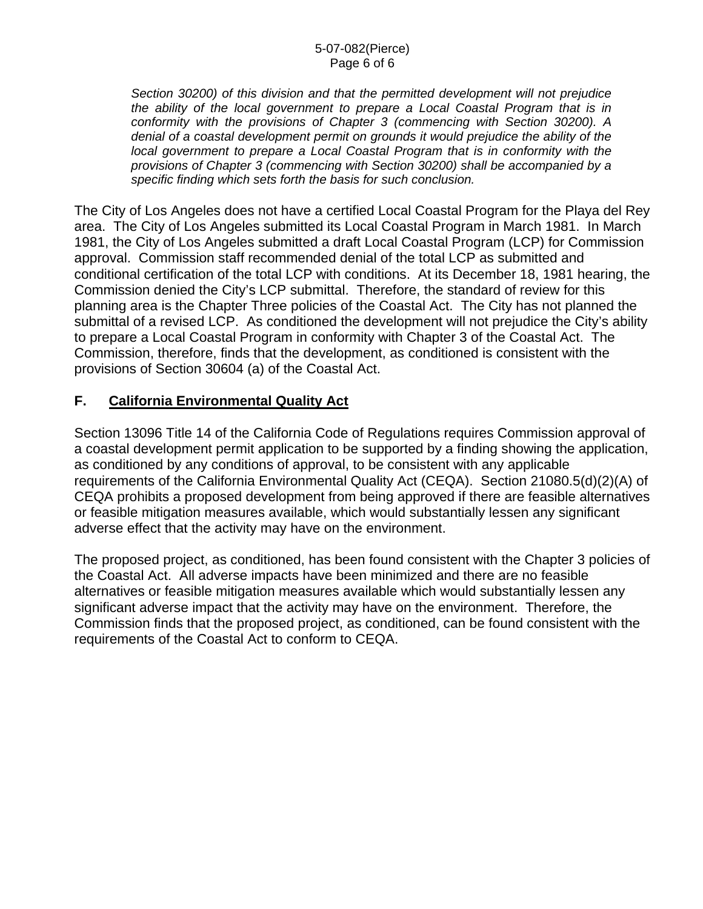*Section 30200) of this division and that the permitted development will not prejudice the ability of the local government to prepare a Local Coastal Program that is in conformity with the provisions of Chapter 3 (commencing with Section 30200). A denial of a coastal development permit on grounds it would prejudice the ability of the local government to prepare a Local Coastal Program that is in conformity with the provisions of Chapter 3 (commencing with Section 30200) shall be accompanied by a specific finding which sets forth the basis for such conclusion.* 

The City of Los Angeles does not have a certified Local Coastal Program for the Playa del Rey area. The City of Los Angeles submitted its Local Coastal Program in March 1981. In March 1981, the City of Los Angeles submitted a draft Local Coastal Program (LCP) for Commission approval. Commission staff recommended denial of the total LCP as submitted and conditional certification of the total LCP with conditions. At its December 18, 1981 hearing, the Commission denied the City's LCP submittal. Therefore, the standard of review for this planning area is the Chapter Three policies of the Coastal Act. The City has not planned the submittal of a revised LCP. As conditioned the development will not prejudice the City's ability to prepare a Local Coastal Program in conformity with Chapter 3 of the Coastal Act. The Commission, therefore, finds that the development, as conditioned is consistent with the provisions of Section 30604 (a) of the Coastal Act.

# **F. California Environmental Quality Act**

Section 13096 Title 14 of the California Code of Regulations requires Commission approval of a coastal development permit application to be supported by a finding showing the application, as conditioned by any conditions of approval, to be consistent with any applicable requirements of the California Environmental Quality Act (CEQA). Section 21080.5(d)(2)(A) of CEQA prohibits a proposed development from being approved if there are feasible alternatives or feasible mitigation measures available, which would substantially lessen any significant adverse effect that the activity may have on the environment.

The proposed project, as conditioned, has been found consistent with the Chapter 3 policies of the Coastal Act. All adverse impacts have been minimized and there are no feasible alternatives or feasible mitigation measures available which would substantially lessen any significant adverse impact that the activity may have on the environment. Therefore, the Commission finds that the proposed project, as conditioned, can be found consistent with the requirements of the Coastal Act to conform to CEQA.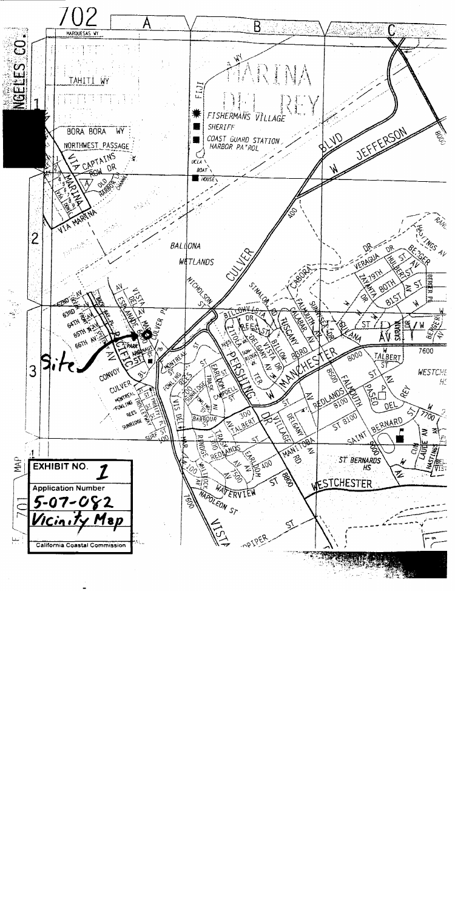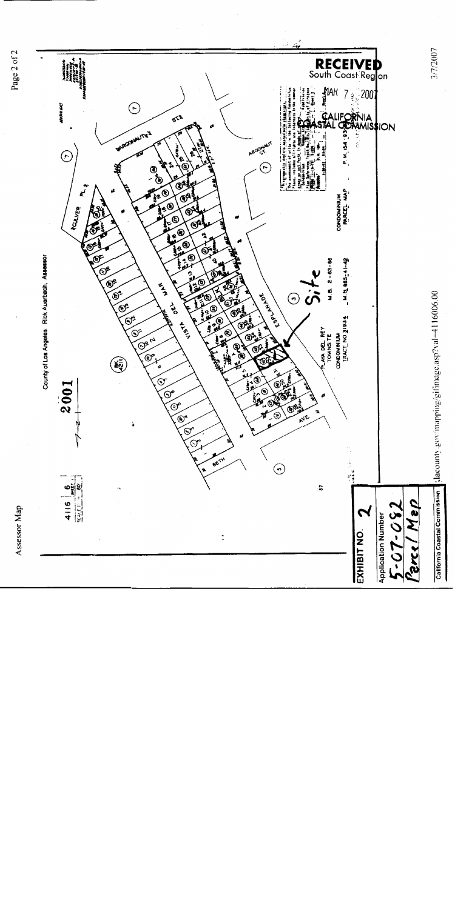





3/7/2007

slacounty.gov/mapping/gilmage.asp?val=4116006.00

California Coastal Commission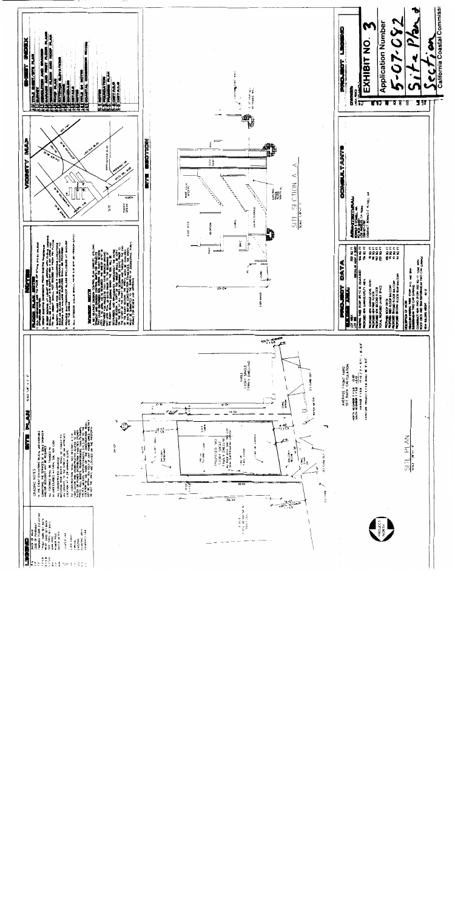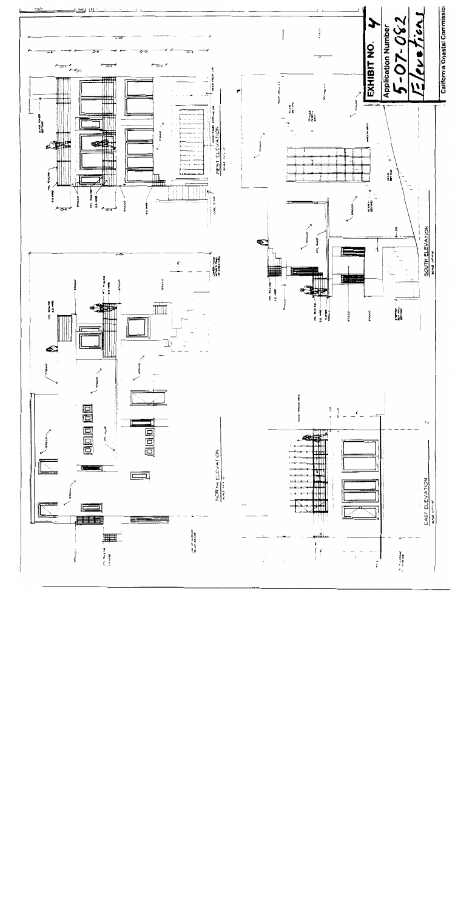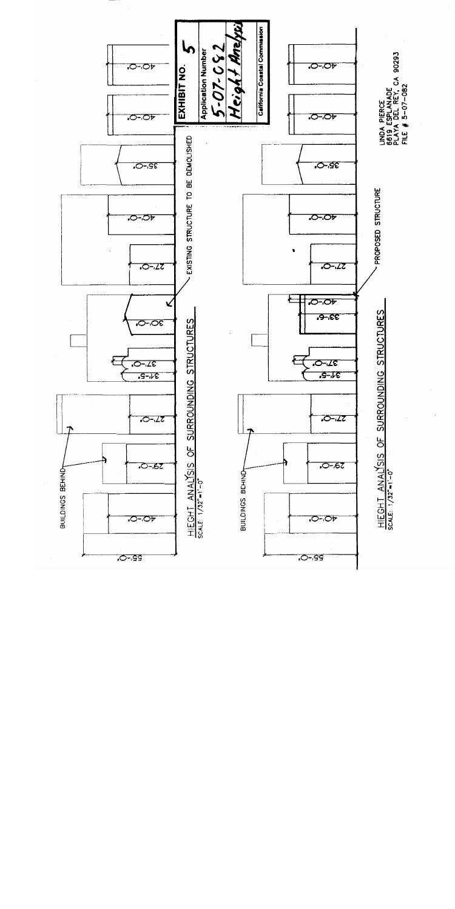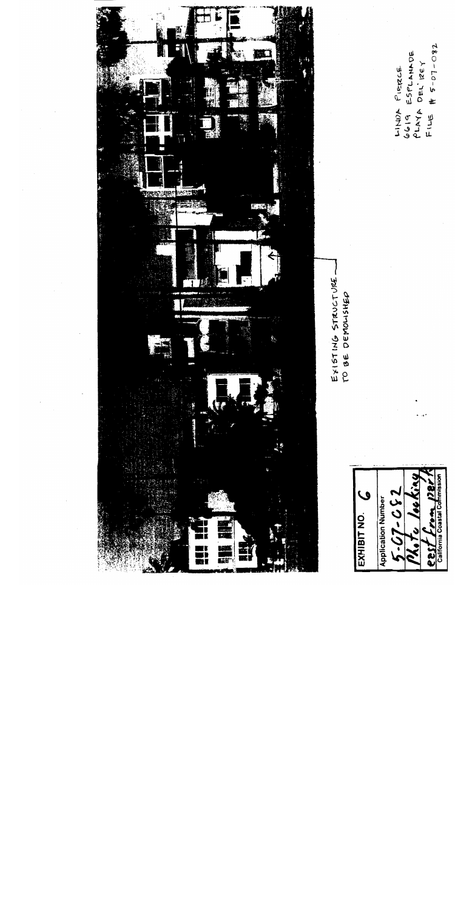

 $\mathcal{Q}$  $-230 - 29$ **Application Number** California Coastal Co Š 7 isa.

#  $5 - 07 - 082$ 6619 ESPLANADE PLAYA DEL'IZEY LINDA PIERCE با اسانع<br>جاما ا